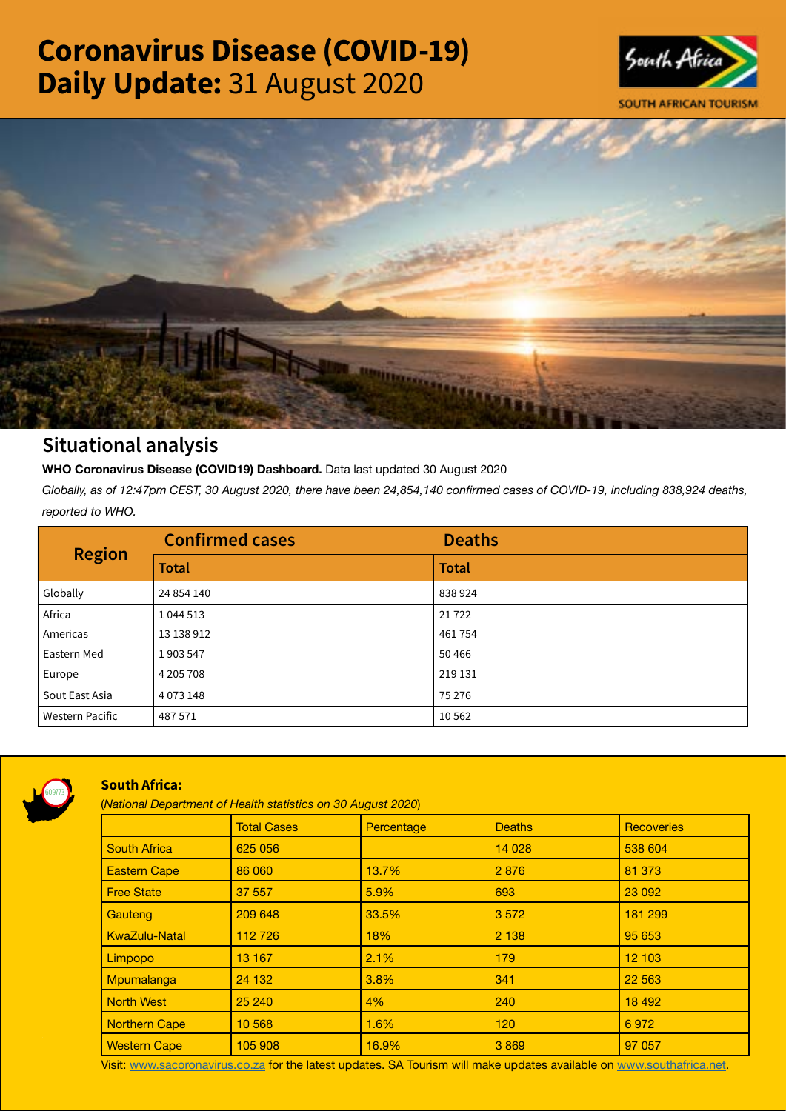# Coronavirus Disease (COVID-19) Daily Update: 31 August 2020





## Situational analysis

**WHO Coronavirus Disease (COVID19) Dashboard.** Data last updated 30 August 2020

*Globally, as of 12:47pm CEST, 30 August 2020, there have been 24,854,140 confirmed cases of COVID-19, including 838,924 deaths, reported to WHO.*

| <b>Region</b>          | <b>Confirmed cases</b> | <b>Deaths</b> |
|------------------------|------------------------|---------------|
|                        | <b>Total</b>           | <b>Total</b>  |
| Globally               | 24 854 140             | 838924        |
| Africa                 | 1 044 513              | 21722         |
| Americas               | 13 138 912             | 461754        |
| Eastern Med            | 1903547                | 50466         |
| Europe                 | 4 205 708              | 219 131       |
| Sout East Asia         | 4 0 7 3 1 4 8          | 75 276        |
| <b>Western Pacific</b> | 487571                 | 10 5 62       |



### South Africa:

(*National Department of Health statistics on 30 August 2020*)

|                      | <b>Total Cases</b> | Percentage | <b>Deaths</b> | <b>Recoveries</b> |  |
|----------------------|--------------------|------------|---------------|-------------------|--|
| <b>South Africa</b>  | 625 056            |            | 14 0 28       | 538 604           |  |
| <b>Eastern Cape</b>  | 86 060             | 13.7%      | 2876          | 81 373            |  |
| <b>Free State</b>    | 37 557             | 5.9%       | 693           | 23 092            |  |
| Gauteng              | 209 648            | 33.5%      | 3572          | 181 299           |  |
| <b>KwaZulu-Natal</b> | 112 726            | 18%        | 2 1 3 8       | 95 653            |  |
| Limpopo              | 13 167             | 2.1%       | 179           | 12 103            |  |
| Mpumalanga           | 24 132             | 3.8%       | 341           | 22 5 63           |  |
| <b>North West</b>    | 25 240             | 4%         | 240           | 18 4 9 2          |  |
| Northern Cape        | 10 5 68            | 1.6%       | 120           | 6972              |  |
| <b>Western Cape</b>  | 105 908            | 16.9%      | 3869          | 97 057            |  |

Visit: [www.sacoronavirus.co.za](http://www.sacoronavirus.co.za) for the latest updates. SA Tourism will make updates available on [www.southafrica.net.](http://www.southafrica.net)